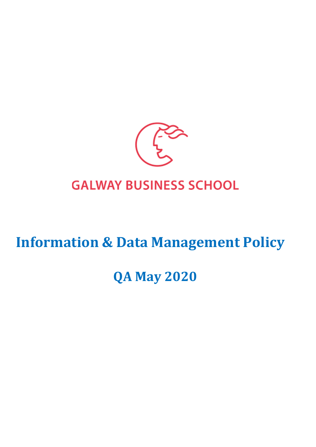

## **GALWAY BUSINESS SCHOOL**

# **Information & Data Management Policy**

## **QA May 2020**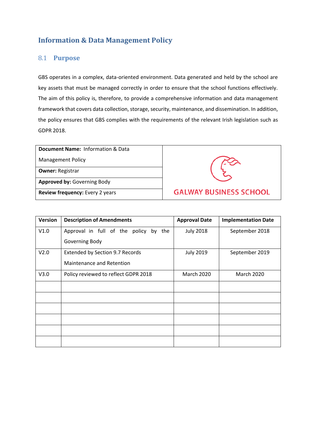## **Information & Data Management Policy**

## 8.1 **Purpose**

GBS operates in a complex, data-oriented environment. Data generated and held by the school are key assets that must be managed correctly in order to ensure that the school functions effectively. The aim of this policy is, therefore, to provide a comprehensive information and data management framework that covers data collection, storage, security, maintenance, and dissemination. In addition, the policy ensures that GBS complies with the requirements of the relevant Irish legislation such as GDPR 2018.

| <b>Document Name: Information &amp; Data</b> |                               |
|----------------------------------------------|-------------------------------|
| <b>Management Policy</b>                     |                               |
| <b>Owner: Registrar</b>                      |                               |
| <b>Approved by: Governing Body</b>           |                               |
| Review frequency: Every 2 years              | <b>GALWAY BUSINESS SCHOOL</b> |

| Version | <b>Description of Amendments</b>            | <b>Approval Date</b> | <b>Implementation Date</b> |
|---------|---------------------------------------------|----------------------|----------------------------|
| V1.0    | Approval in full of the policy<br>the<br>by | <b>July 2018</b>     | September 2018             |
|         | Governing Body                              |                      |                            |
| V2.0    | Extended by Section 9.7 Records             | <b>July 2019</b>     | September 2019             |
|         | Maintenance and Retention                   |                      |                            |
| V3.0    | Policy reviewed to reflect GDPR 2018        | <b>March 2020</b>    | <b>March 2020</b>          |
|         |                                             |                      |                            |
|         |                                             |                      |                            |
|         |                                             |                      |                            |
|         |                                             |                      |                            |
|         |                                             |                      |                            |
|         |                                             |                      |                            |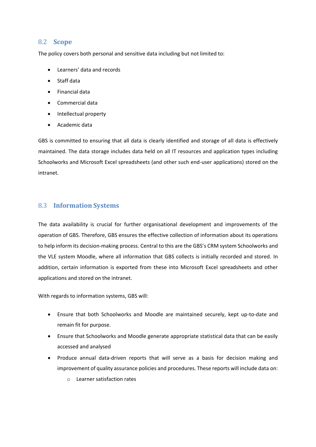## 8.2 **Scope**

The policy covers both personal and sensitive data including but not limited to:

- Learners' data and records
- Staff data
- Financial data
- Commercial data
- Intellectual property
- Academic data

GBS is committed to ensuring that all data is clearly identified and storage of all data is effectively maintained. The data storage includes data held on all IT resources and application types including Schoolworks and Microsoft Excel spreadsheets (and other such end-user applications) stored on the intranet.

## 8.3 **Information Systems**

The data availability is crucial for further organisational development and improvements of the operation of GBS. Therefore, GBS ensures the effective collection of information about its operations to help inform its decision-making process. Central to this are the GBS's CRM system Schoolworks and the VLE system Moodle, where all information that GBS collects is initially recorded and stored. In addition, certain information is exported from these into Microsoft Excel spreadsheets and other applications and stored on the intranet.

With regards to information systems, GBS will:

- Ensure that both Schoolworks and Moodle are maintained securely, kept up-to-date and remain fit for purpose.
- Ensure that Schoolworks and Moodle generate appropriate statistical data that can be easily accessed and analysed
- Produce annual data-driven reports that will serve as a basis for decision making and improvement of quality assurance policies and procedures. These reports will include data on:
	- o Learner satisfaction rates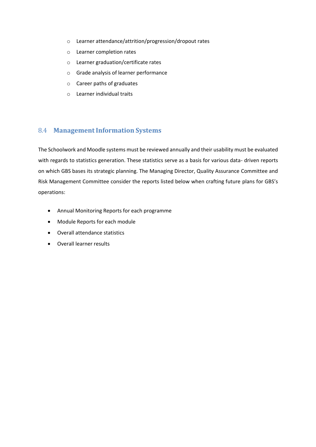- o Learner attendance/attrition/progression/dropout rates
- o Learner completion rates
- o Learner graduation/certificate rates
- o Grade analysis of learner performance
- o Career paths of graduates
- o Learner individual traits

## 8.4 **ManagementInformation Systems**

The Schoolwork and Moodle systems must be reviewed annually and their usability must be evaluated with regards to statistics generation. These statistics serve as a basis for various data- driven reports on which GBS bases its strategic planning. The Managing Director, Quality Assurance Committee and Risk Management Committee consider the reports listed below when crafting future plans for GBS's operations:

- Annual Monitoring Reports for each programme
- Module Reports for each module
- Overall attendance statistics
- Overall learner results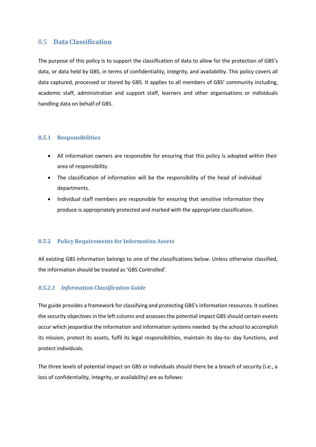## 8.5 **Data Classification**

The purpose of this policy is to support the classification of data to allow for the protection of GBS's data, or data held by GBS, in terms of confidentiality, integrity, and availability. This policy covers all data captured, processed or stored by GBS. It applies to all members of GBS' community including, academic staff, administration and support staff, learners and other organisations or individuals handling data on behalf of GBS.

#### **8.5.1 Responsibilities**

- All information owners are responsible for ensuring that this policy is adopted within their area of responsibility.
- The classification of information will be the responsibility of the head of individual departments.
- Individual staff members are responsible for ensuring that sensitive information they produce is appropriately protected and marked with the appropriate classification.

#### **8.5.2 Policy Requirements for Information Assets**

All existing GBS information belongs to one of the classifications below. Unless otherwise classified, the information should be treated as 'GBS Controlled'.

### *8.5.2.1 Information Classification Guide*

The guide provides a framework for classifying and protecting GBS's information resources. It outlines the security objectives in the left column and assesses the potential impact GBS should certain events occur which jeopardise the information and information systems needed by the school to accomplish its mission, protect its assets, fulfil its legal responsibilities, maintain its day-to- day functions, and protect individuals.

The three levels of potential impact on GBS or individuals should there be a breach of security (i.e., a loss of confidentiality, integrity, or availability) are as follows: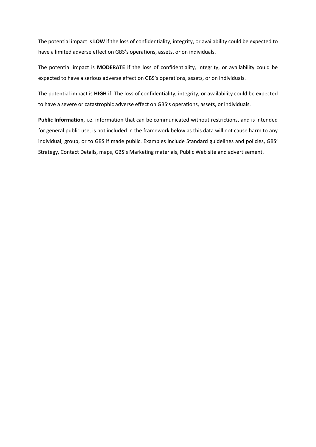The potential impact is **LOW** if the loss of confidentiality, integrity, or availability could be expected to have a limited adverse effect on GBS's operations, assets, or on individuals.

The potential impact is **MODERATE** if the loss of confidentiality, integrity, or availability could be expected to have a serious adverse effect on GBS's operations, assets, or on individuals.

The potential impact is **HIGH** if: The loss of confidentiality, integrity, or availability could be expected to have a severe or catastrophic adverse effect on GBS's operations, assets, or individuals.

**Public Information**, i.e. information that can be communicated without restrictions, and is intended for general public use, is not included in the framework below as this data will not cause harm to any individual, group, or to GBS if made public. Examples include Standard guidelines and policies, GBS' Strategy, Contact Details, maps, GBS's Marketing materials, Public Web site and advertisement.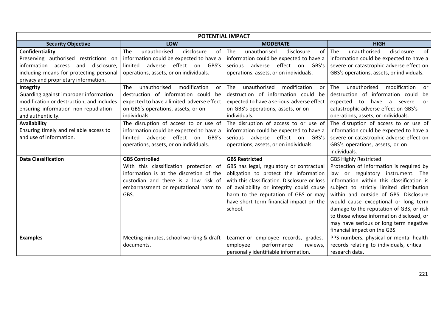| <b>POTENTIAL IMPACT</b>                                                                                                                                                           |                                                                                                                                                                                                     |                                                                                                                                                                                                                                                                                                      |                                                                                                                                                                                                                                                                                                                                                                                                                                                           |  |  |  |
|-----------------------------------------------------------------------------------------------------------------------------------------------------------------------------------|-----------------------------------------------------------------------------------------------------------------------------------------------------------------------------------------------------|------------------------------------------------------------------------------------------------------------------------------------------------------------------------------------------------------------------------------------------------------------------------------------------------------|-----------------------------------------------------------------------------------------------------------------------------------------------------------------------------------------------------------------------------------------------------------------------------------------------------------------------------------------------------------------------------------------------------------------------------------------------------------|--|--|--|
| <b>Security Objective</b>                                                                                                                                                         | LOW                                                                                                                                                                                                 | <b>MODERATE</b>                                                                                                                                                                                                                                                                                      | <b>HIGH</b>                                                                                                                                                                                                                                                                                                                                                                                                                                               |  |  |  |
| Confidentiality<br>Preserving authorised restrictions on<br>information access and disclosure,<br>including means for protecting personal<br>privacy and proprietary information. | unauthorised<br>The<br>disclosure<br>of<br>information could be expected to have a<br>effect on GBS's<br>adverse<br>limited<br>operations, assets, or on individuals.                               | unauthorised<br>The<br>disclosure<br>of<br>information could be expected to have a<br>adverse effect on GBS's<br>serious<br>operations, assets, or on individuals.                                                                                                                                   | unauthorised<br><b>The</b><br>disclosure<br>0f<br>information could be expected to have a<br>severe or catastrophic adverse effect on<br>GBS's operations, assets, or individuals.                                                                                                                                                                                                                                                                        |  |  |  |
| Integrity<br>Guarding against improper information<br>modification or destruction, and includes<br>ensuring information non-repudiation<br>and authenticity.                      | unauthorised<br>modification<br>The<br>or<br>destruction of information could be<br>expected to have a limited adverse effect<br>on GBS's operations, assets, or on<br>individuals.                 | unauthorised<br>modification<br>The<br>or<br>destruction of information could<br>be<br>expected to have a serious adverse effect<br>on GBS's operations, assets, or on<br>individuals.                                                                                                               | modification<br>unauthorised<br><b>The</b><br>or<br>destruction of information could<br>be<br>expected<br>to<br>have a severe<br>or<br>catastrophic adverse effect on GBS's<br>operations, assets, or individuals.                                                                                                                                                                                                                                        |  |  |  |
| <b>Availability</b><br>Ensuring timely and reliable access to<br>and use of information.                                                                                          | The disruption of access to or use of<br>information could be expected to have a<br>adverse effect on GBS's<br>limited<br>operations, assets, or on individuals.                                    | The disruption of access to or use of<br>information could be expected to have a<br>adverse effect on GBS's<br>serious<br>operations, assets, or on individuals.                                                                                                                                     | The disruption of access to or use of<br>information could be expected to have a<br>severe or catastrophic adverse effect on<br>GBS's operations, assets, or on<br>individuals.                                                                                                                                                                                                                                                                           |  |  |  |
| <b>Data Classification</b>                                                                                                                                                        | <b>GBS Controlled</b><br>With this classification protection of<br>information is at the discretion of the<br>custodian and there is a low risk of<br>embarrassment or reputational harm to<br>GBS. | <b>GBS Restricted</b><br>GBS has legal, regulatory or contractual<br>obligation to protect the information<br>with this classification. Disclosure or loss<br>of availability or integrity could cause<br>harm to the reputation of GBS or may<br>have short term financial impact on the<br>school. | <b>GBS Highly Restricted</b><br>Protection of information is required by<br>law or regulatory instrument. The<br>information within this classification is<br>subject to strictly limited distribution<br>within and outside of GBS. Disclosure<br>would cause exceptional or long term<br>damage to the reputation of GBS, or risk<br>to those whose information disclosed, or<br>may have serious or long term negative<br>financial impact on the GBS. |  |  |  |
| <b>Examples</b>                                                                                                                                                                   | Meeting minutes, school working & draft<br>documents.                                                                                                                                               | Learner or employee records, grades,<br>performance<br>employee<br>reviews,<br>personally identifiable information.                                                                                                                                                                                  | PPS numbers, physical or mental health<br>records relating to individuals, critical<br>research data.                                                                                                                                                                                                                                                                                                                                                     |  |  |  |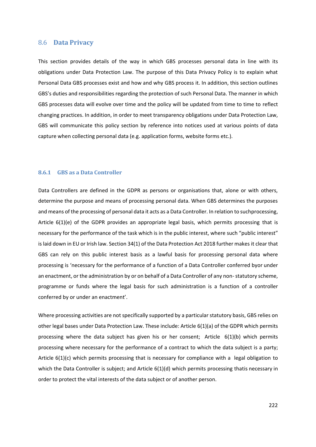#### 8.6 **Data Privacy**

This section provides details of the way in which GBS processes personal data in line with its obligations under Data Protection Law. The purpose of this Data Privacy Policy is to explain what Personal Data GBS processes exist and how and why GBS process it. In addition, this section outlines GBS's duties and responsibilities regarding the protection of such Personal Data. The manner in which GBS processes data will evolve over time and the policy will be updated from time to time to reflect changing practices. In addition, in order to meet transparency obligations under Data Protection Law, GBS will communicate this policy section by reference into notices used at various points of data capture when collecting personal data (e.g. application forms, website forms etc.).

#### **8.6.1 GBS as a Data Controller**

Data Controllers are defined in the GDPR as persons or organisations that, alone or with others, determine the purpose and means of processing personal data. When GBS determines the purposes and means of the processing of personal data it acts as a Data Controller. In relation to suchprocessing, Article 6(1)(e) of the GDPR provides an appropriate legal basis, which permits processing that is necessary for the performance of the task which is in the public interest, where such "public interest" is laid down in EU or Irish law. Section 34(1) of the Data Protection Act 2018 further makes it clear that GBS can rely on this public interest basis as a lawful basis for processing personal data where processing is 'necessary for the performance of a function of a Data Controller conferred byor under an enactment, or the administration by or on behalf of a Data Controller of any non-statutory scheme, programme or funds where the legal basis for such administration is a function of a controller conferred by or under an enactment'.

Where processing activities are not specifically supported by a particular statutory basis, GBS relies on other legal bases under Data Protection Law. These include: Article 6(1)(a) of the GDPR which permits processing where the data subject has given his or her consent; Article 6(1)(b) which permits processing where necessary for the performance of a contract to which the data subject is a party; Article 6(1)(c) which permits processing that is necessary for compliance with a legal obligation to which the Data Controller is subject; and Article 6(1)(d) which permits processing thatis necessary in order to protect the vital interests of the data subject or of another person.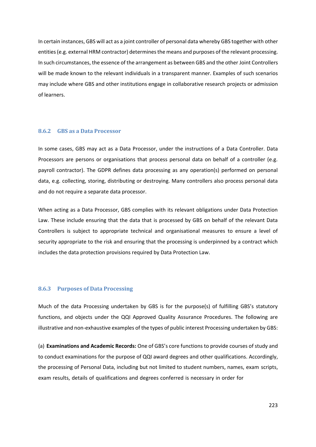In certain instances, GBS will act as a joint controller of personal data whereby GBS together with other entities (e.g. external HRM contractor) determines the means and purposes of the relevant processing. In such circumstances, the essence of the arrangement as between GBS and the other Joint Controllers will be made known to the relevant individuals in a transparent manner. Examples of such scenarios may include where GBS and other institutions engage in collaborative research projects or admission of learners.

#### **8.6.2 GBS as a Data Processor**

In some cases, GBS may act as a Data Processor, under the instructions of a Data Controller. Data Processors are persons or organisations that process personal data on behalf of a controller (e.g. payroll contractor). The GDPR defines data processing as any operation(s) performed on personal data, e.g. collecting, storing, distributing or destroying. Many controllers also process personal data and do not require a separate data processor.

When acting as a Data Processor, GBS complies with its relevant obligations under Data Protection Law. These include ensuring that the data that is processed by GBS on behalf of the relevant Data Controllers is subject to appropriate technical and organisational measures to ensure a level of security appropriate to the risk and ensuring that the processing is underpinned by a contract which includes the data protection provisions required by Data Protection Law.

#### **8.6.3 Purposes of Data Processing**

Much of the data Processing undertaken by GBS is for the purpose(s) of fulfilling GBS's statutory functions, and objects under the QQI Approved Quality Assurance Procedures. The following are illustrative and non-exhaustive examples of the types of public interest Processing undertaken by GBS:

(a) **Examinations and Academic Records:** One of GBS's core functions to provide courses of study and to conduct examinations for the purpose of QQI award degrees and other qualifications. Accordingly, the processing of Personal Data, including but not limited to student numbers, names, exam scripts, exam results, details of qualifications and degrees conferred is necessary in order for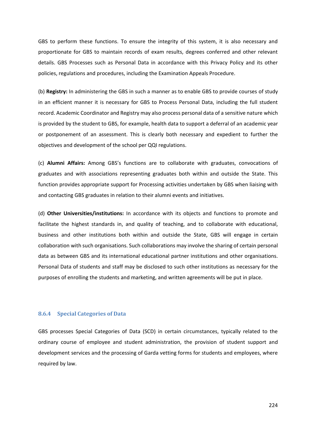GBS to perform these functions. To ensure the integrity of this system, it is also necessary and proportionate for GBS to maintain records of exam results, degrees conferred and other relevant details. GBS Processes such as Personal Data in accordance with this Privacy Policy and its other policies, regulations and procedures, including the Examination Appeals Procedure.

(b) **Registry:** In administering the GBS in such a manner as to enable GBS to provide courses of study in an efficient manner it is necessary for GBS to Process Personal Data, including the full student record. Academic Coordinator and Registry may also process personal data of a sensitive nature which is provided by the student to GBS, for example, health data to support a deferral of an academic year or postponement of an assessment. This is clearly both necessary and expedient to further the objectives and development of the school per QQI regulations.

(c) **Alumni Affairs:** Among GBS's functions are to collaborate with graduates, convocations of graduates and with associations representing graduates both within and outside the State. This function provides appropriate support for Processing activities undertaken by GBS when liaising with and contacting GBS graduates in relation to their alumni events and initiatives.

(d) **Other Universities/institutions:** In accordance with its objects and functions to promote and facilitate the highest standards in, and quality of teaching, and to collaborate with educational, business and other institutions both within and outside the State, GBS will engage in certain collaboration with such organisations. Such collaborations may involve the sharing of certain personal data as between GBS and its international educational partner institutions and other organisations. Personal Data of students and staff may be disclosed to such other institutions as necessary for the purposes of enrolling the students and marketing, and written agreements will be put in place.

#### **8.6.4 Special Categories of Data**

GBS processes Special Categories of Data (SCD) in certain circumstances, typically related to the ordinary course of employee and student administration, the provision of student support and development services and the processing of Garda vetting forms for students and employees, where required by law.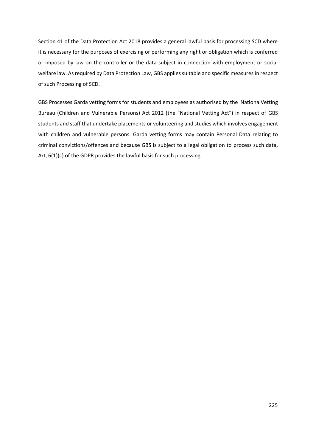Section 41 of the Data Protection Act 2018 provides a general lawful basis for processing SCD where it is necessary for the purposes of exercising or performing any right or obligation which is conferred or imposed by law on the controller or the data subject in connection with employment or social welfare law. As required by Data Protection Law, GBS applies suitable and specific measures in respect of such Processing of SCD.

GBS Processes Garda vetting forms for students and employees as authorised by the NationalVetting Bureau (Children and Vulnerable Persons) Act 2012 (the "National Vetting Act") in respect of GBS students and staff that undertake placements or volunteering and studies which involves engagement with children and vulnerable persons. Garda vetting forms may contain Personal Data relating to criminal convictions/offences and because GBS is subject to a legal obligation to process such data, Art, 6(1)(c) of the GDPR provides the lawful basis for such processing.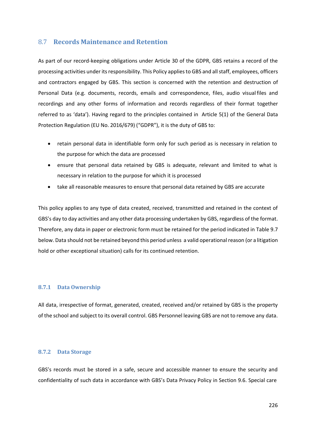### 8.7 **Records Maintenance and Retention**

As part of our record-keeping obligations under Article 30 of the GDPR, GBS retains a record of the processing activities under its responsibility. This Policy applies to GBS and all staff, employees, officers and contractors engaged by GBS. This section is concerned with the retention and destruction of Personal Data (e.g. documents, records, emails and correspondence, files, audio visualfiles and recordings and any other forms of information and records regardless of their format together referred to as 'data'). Having regard to the principles contained in Article 5(1) of the General Data Protection Regulation (EU No. 2016/679) ("GDPR"), it is the duty of GBS to:

- retain personal data in identifiable form only for such period as is necessary in relation to the purpose for which the data are processed
- ensure that personal data retained by GBS is adequate, relevant and limited to what is necessary in relation to the purpose for which it is processed
- take all reasonable measures to ensure that personal data retained by GBS are accurate

This policy applies to any type of data created, received, transmitted and retained in the context of GBS's day to day activities and any other data processing undertaken by GBS, regardless of the format. Therefore, any data in paper or electronic form must be retained for the period indicated in Table 9.7 below. Data should not be retained beyond this period unless a valid operational reason (or a litigation hold or other exceptional situation) calls for its continued retention.

#### **8.7.1 Data Ownership**

All data, irrespective of format, generated, created, received and/or retained by GBS is the property of the school and subject to its overall control. GBS Personnel leaving GBS are not to remove any data.

#### **8.7.2 Data Storage**

GBS's records must be stored in a safe, secure and accessible manner to ensure the security and confidentiality of such data in accordance with GBS's Data Privacy Policy in Section 9.6. Special care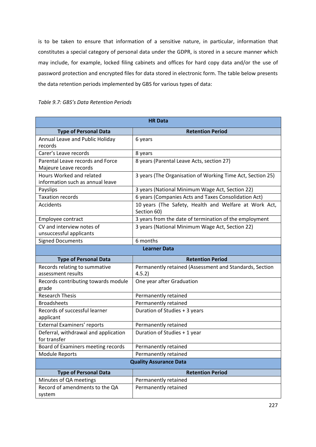is to be taken to ensure that information of a sensitive nature, in particular, information that constitutes a special category of personal data under the GDPR, is stored in a secure manner which may include, for example, locked filing cabinets and offices for hard copy data and/or the use of password protection and encrypted files for data stored in electronic form. The table below presents the data retention periods implemented by GBS for various types of data:

| <b>HR Data</b>                                               |                                                                      |  |  |  |
|--------------------------------------------------------------|----------------------------------------------------------------------|--|--|--|
| <b>Type of Personal Data</b>                                 | <b>Retention Period</b>                                              |  |  |  |
| Annual Leave and Public Holiday<br>records                   | 6 years                                                              |  |  |  |
| Carer's Leave records                                        | 8 years                                                              |  |  |  |
| Parental Leave records and Force<br>Majeure Leave records    | 8 years (Parental Leave Acts, section 27)                            |  |  |  |
| Hours Worked and related<br>information such as annual leave | 3 years (The Organisation of Working Time Act, Section 25)           |  |  |  |
| Payslips                                                     | 3 years (National Minimum Wage Act, Section 22)                      |  |  |  |
| <b>Taxation records</b>                                      | 6 years (Companies Acts and Taxes Consolidation Act)                 |  |  |  |
| <b>Accidents</b>                                             | 10 years (The Safety, Health and Welfare at Work Act,<br>Section 60) |  |  |  |
| Employee contract                                            | 3 years from the date of termination of the employment               |  |  |  |
| CV and interview notes of<br>unsuccessful applicants         | 3 years (National Minimum Wage Act, Section 22)                      |  |  |  |
| <b>Signed Documents</b>                                      | 6 months                                                             |  |  |  |
|                                                              | <b>Learner Data</b>                                                  |  |  |  |
| <b>Type of Personal Data</b>                                 | <b>Retention Period</b>                                              |  |  |  |
| Records relating to summative                                | Permanently retained (Assessment and Standards, Section              |  |  |  |
| assessment results                                           | 4.5.2)                                                               |  |  |  |
| Records contributing towards module<br>grade                 | One year after Graduation                                            |  |  |  |
| <b>Research Thesis</b>                                       | Permanently retained                                                 |  |  |  |
| <b>Broadsheets</b>                                           | Permanently retained                                                 |  |  |  |
| Records of successful learner<br>applicant                   | Duration of Studies + 3 years                                        |  |  |  |
| External Examiners' reports                                  | Permanently retained                                                 |  |  |  |
| Deferral, withdrawal and application<br>for transfer         | Duration of Studies + 1 year                                         |  |  |  |
| Board of Examiners meeting records                           | Permanently retained                                                 |  |  |  |
| Module Reports                                               | Permanently retained                                                 |  |  |  |
| <b>Quality Assurance Data</b>                                |                                                                      |  |  |  |
| <b>Type of Personal Data</b>                                 | <b>Retention Period</b>                                              |  |  |  |
| Minutes of QA meetings                                       | Permanently retained                                                 |  |  |  |
| Record of amendments to the QA<br>system                     | Permanently retained                                                 |  |  |  |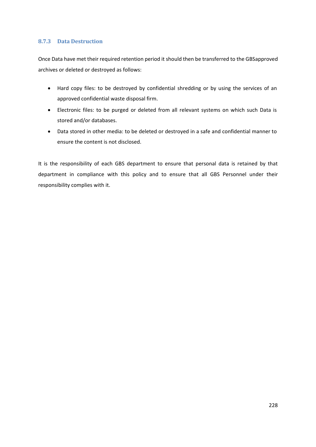### **8.7.3 Data Destruction**

Once Data have met their required retention period it should then be transferred to the GBSapproved archives or deleted or destroyed as follows:

- Hard copy files: to be destroyed by confidential shredding or by using the services of an approved confidential waste disposal firm.
- Electronic files: to be purged or deleted from all relevant systems on which such Data is stored and/or databases.
- Data stored in other media: to be deleted or destroyed in a safe and confidential manner to ensure the content is not disclosed.

It is the responsibility of each GBS department to ensure that personal data is retained by that department in compliance with this policy and to ensure that all GBS Personnel under their responsibility complies with it.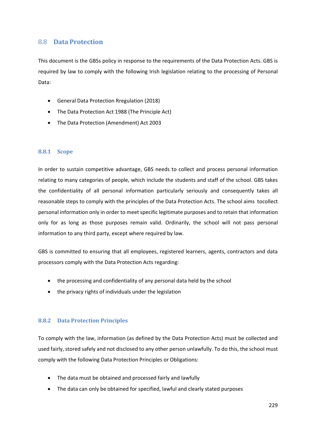## 8.8 **Data Protection**

This document is the GBSs policy in response to the requirements of the Data Protection Acts. GBS is required by law to comply with the following Irish legislation relating to the processing of Personal Data:

- General Data Protection Rregulation (2018)
- The Data Protection Act 1988 (The Principle Act)
- The Data Protection (Amendment) Act 2003

#### **8.8.1 Scope**

In order to sustain competitive advantage, GBS needs to collect and process personal information relating to many categories of people, which include the students and staff of the school. GBS takes the confidentiality of all personal information particularly seriously and consequently takes all reasonable steps to comply with the principles of the Data Protection Acts. The school aims tocollect personal information only in order to meet specific legitimate purposes and to retain that information only for as long as those purposes remain valid. Ordinarily, the school will not pass personal information to any third party, except where required by law.

GBS is committed to ensuring that all employees, registered learners, agents, contractors and data processors comply with the Data Protection Acts regarding:

- the processing and confidentiality of any personal data held by the school
- the privacy rights of individuals under the legislation

#### **8.8.2 Data Protection Principles**

To comply with the law, information (as defined by the Data Protection Acts) must be collected and used fairly, stored safely and not disclosed to any other person unlawfully. To do this, the school must comply with the following Data Protection Principles or Obligations:

- The data must be obtained and processed fairly and lawfully
- The data can only be obtained for specified, lawful and clearly stated purposes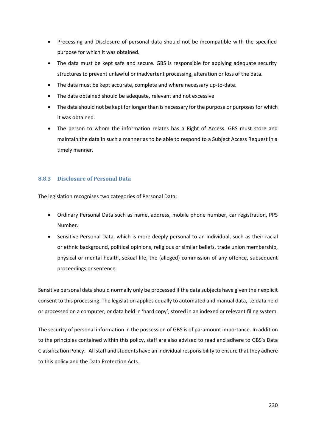- Processing and Disclosure of personal data should not be incompatible with the specified purpose for which it was obtained.
- The data must be kept safe and secure. GBS is responsible for applying adequate security structures to prevent unlawful or inadvertent processing, alteration or loss of the data.
- The data must be kept accurate, complete and where necessary up-to-date.
- The data obtained should be adequate, relevant and not excessive
- The data should not be kept for longer than is necessary for the purpose or purposes for which it was obtained.
- The person to whom the information relates has a Right of Access. GBS must store and maintain the data in such a manner as to be able to respond to a Subject Access Request in a timely manner.

## **8.8.3 Disclosure of Personal Data**

The legislation recognises two categories of Personal Data:

- Ordinary Personal Data such as name, address, mobile phone number, car registration, PPS Number.
- Sensitive Personal Data, which is more deeply personal to an individual, such as their racial or ethnic background, political opinions, religious or similar beliefs, trade union membership, physical or mental health, sexual life, the (alleged) commission of any offence, subsequent proceedings or sentence.

Sensitive personal data should normally only be processed if the data subjects have given their explicit consent to this processing. The legislation applies equally to automated and manual data, i.e.data held or processed on a computer, or data held in 'hard copy', stored in an indexed or relevant filing system.

The security of personal information in the possession of GBS is of paramount importance. In addition to the principles contained within this policy, staff are also advised to read and adhere to GBS's Data Classification Policy. All staff and students have an individual responsibility to ensure that they adhere to this policy and the Data Protection Acts.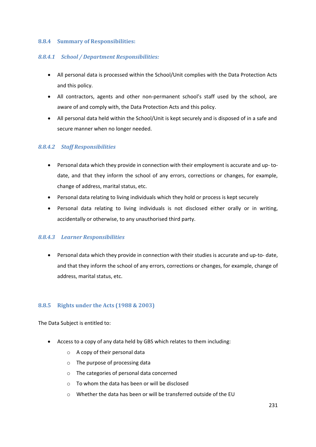#### **8.8.4 Summary of Responsibilities:**

#### *8.8.4.1 School / Department Responsibilities:*

- All personal data is processed within the School/Unit complies with the Data Protection Acts and this policy.
- All contractors, agents and other non-permanent school's staff used by the school, are aware of and comply with, the Data Protection Acts and this policy.
- All personal data held within the School/Unit is kept securely and is disposed of in a safe and secure manner when no longer needed.

### *8.8.4.2 Staff Responsibilities*

- Personal data which they provide in connection with their employment is accurate and up- todate, and that they inform the school of any errors, corrections or changes, for example, change of address, marital status, etc.
- Personal data relating to living individuals which they hold or process is kept securely
- Personal data relating to living individuals is not disclosed either orally or in writing, accidentally or otherwise, to any unauthorised third party.

### *8.8.4.3 Learner Responsibilities*

• Personal data which they provide in connection with their studies is accurate and up-to- date, and that they inform the school of any errors, corrections or changes, for example, change of address, marital status, etc.

### **8.8.5 Rights under the Acts (1988 & 2003)**

The Data Subject is entitled to:

- Access to a copy of any data held by GBS which relates to them including:
	- o A copy of their personal data
	- o The purpose of processing data
	- o The categories of personal data concerned
	- o To whom the data has been or will be disclosed
	- o Whether the data has been or will be transferred outside of the EU